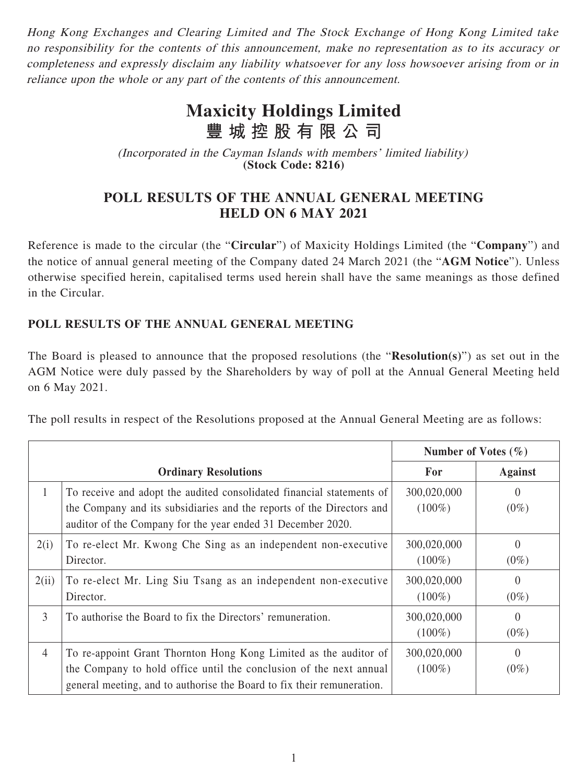Hong Kong Exchanges and Clearing Limited and The Stock Exchange of Hong Kong Limited take no responsibility for the contents of this announcement, make no representation as to its accuracy or completeness and expressly disclaim any liability whatsoever for any loss howsoever arising from or in reliance upon the whole or any part of the contents of this announcement.

## **Maxicity Holdings Limited 豐城控股有限公司**

(Incorporated in the Cayman Islands with members' limited liability) **(Stock Code: 8216)**

## **POLL RESULTS OF THE ANNUAL GENERAL MEETING HELD ON 6 MAY 2021**

Reference is made to the circular (the "**Circular**") of Maxicity Holdings Limited (the "**Company**") and the notice of annual general meeting of the Company dated 24 March 2021 (the "**AGM Notice**"). Unless otherwise specified herein, capitalised terms used herein shall have the same meanings as those defined in the Circular.

## **POLL RESULTS OF THE ANNUAL GENERAL MEETING**

The Board is pleased to announce that the proposed resolutions (the "**Resolution(s)**") as set out in the AGM Notice were duly passed by the Shareholders by way of poll at the Annual General Meeting held on 6 May 2021.

The poll results in respect of the Resolutions proposed at the Annual General Meeting are as follows:

|                             |                                                                                                                                                                                                                  | Number of Votes $(\% )$  |                     |
|-----------------------------|------------------------------------------------------------------------------------------------------------------------------------------------------------------------------------------------------------------|--------------------------|---------------------|
| <b>Ordinary Resolutions</b> |                                                                                                                                                                                                                  | For                      | <b>Against</b>      |
| 1                           | To receive and adopt the audited consolidated financial statements of<br>the Company and its subsidiaries and the reports of the Directors and<br>auditor of the Company for the year ended 31 December 2020.    | 300,020,000<br>$(100\%)$ | $\Omega$<br>$(0\%)$ |
| 2(i)                        | To re-elect Mr. Kwong Che Sing as an independent non-executive<br>Director.                                                                                                                                      | 300,020,000<br>$(100\%)$ | $\Omega$<br>$(0\%)$ |
| 2(ii)                       | To re-elect Mr. Ling Siu Tsang as an independent non-executive<br>Director.                                                                                                                                      | 300,020,000<br>$(100\%)$ | $\theta$<br>$(0\%)$ |
| $\overline{3}$              | To authorise the Board to fix the Directors' remuneration.                                                                                                                                                       | 300,020,000<br>$(100\%)$ | $\Omega$<br>$(0\%)$ |
| $\overline{4}$              | To re-appoint Grant Thornton Hong Kong Limited as the auditor of<br>the Company to hold office until the conclusion of the next annual<br>general meeting, and to authorise the Board to fix their remuneration. | 300,020,000<br>$(100\%)$ | $\Omega$<br>$(0\%)$ |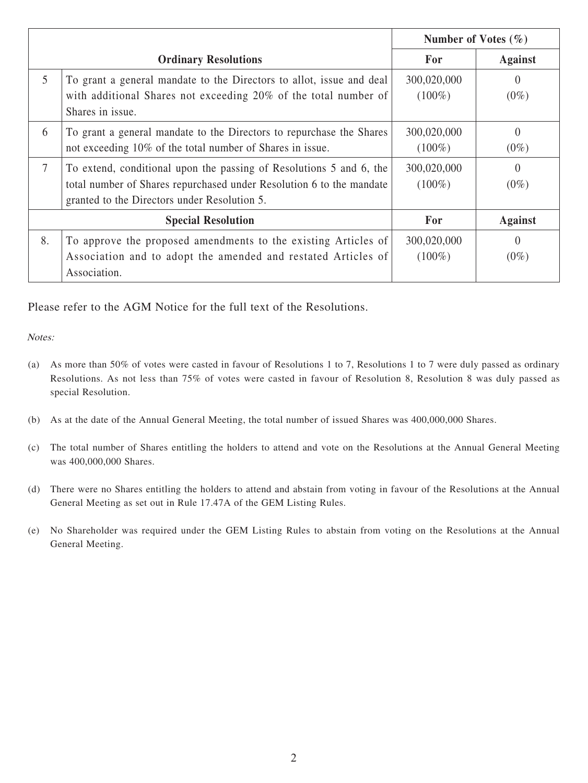|                             |                                                                                                                                                                                             |                          | Number of Votes $(\% )$ |  |
|-----------------------------|---------------------------------------------------------------------------------------------------------------------------------------------------------------------------------------------|--------------------------|-------------------------|--|
| <b>Ordinary Resolutions</b> |                                                                                                                                                                                             | For                      | <b>Against</b>          |  |
| 5                           | To grant a general mandate to the Directors to allot, issue and deal<br>with additional Shares not exceeding 20% of the total number of<br>Shares in issue.                                 | 300,020,000<br>$(100\%)$ | $\Omega$<br>$(0\%)$     |  |
| 6                           | To grant a general mandate to the Directors to repurchase the Shares<br>not exceeding 10% of the total number of Shares in issue.                                                           | 300,020,000<br>$(100\%)$ | $\Omega$<br>$(0\%)$     |  |
| $\overline{7}$              | To extend, conditional upon the passing of Resolutions 5 and 6, the<br>total number of Shares repurchased under Resolution 6 to the mandate<br>granted to the Directors under Resolution 5. | 300,020,000<br>$(100\%)$ | $\Omega$<br>$(0\%)$     |  |
| <b>Special Resolution</b>   |                                                                                                                                                                                             | For                      | <b>Against</b>          |  |
| 8.                          | To approve the proposed amendments to the existing Articles of<br>Association and to adopt the amended and restated Articles of<br>Association.                                             | 300,020,000<br>$(100\%)$ | $\Omega$<br>$(0\%)$     |  |

Please refer to the AGM Notice for the full text of the Resolutions.

Notes:

- (a) As more than 50% of votes were casted in favour of Resolutions 1 to 7, Resolutions 1 to 7 were duly passed as ordinary Resolutions. As not less than 75% of votes were casted in favour of Resolution 8, Resolution 8 was duly passed as special Resolution.
- (b) As at the date of the Annual General Meeting, the total number of issued Shares was 400,000,000 Shares.
- (c) The total number of Shares entitling the holders to attend and vote on the Resolutions at the Annual General Meeting was 400,000,000 Shares.
- (d) There were no Shares entitling the holders to attend and abstain from voting in favour of the Resolutions at the Annual General Meeting as set out in Rule 17.47A of the GEM Listing Rules.
- (e) No Shareholder was required under the GEM Listing Rules to abstain from voting on the Resolutions at the Annual General Meeting.